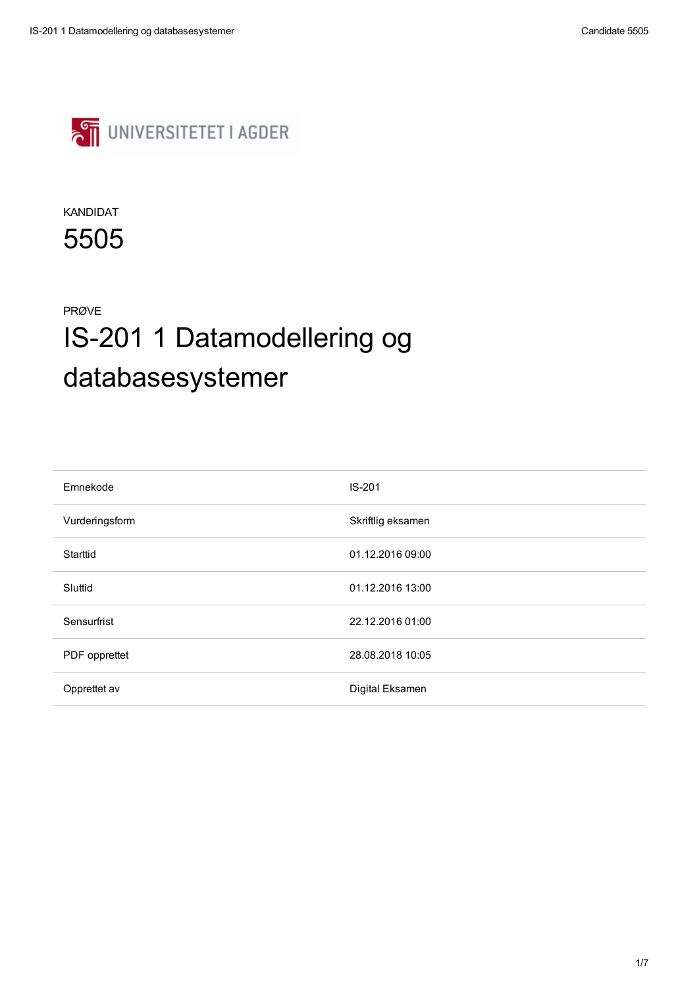

| Emnekode        | $IS-201$          |
|-----------------|-------------------|
| Vurderingsform  | Skriftlig eksamen |
| <b>Starttid</b> | 01.12.2016 09:00  |
| Sluttid         | 01.12.2016 13:00  |

| Sensurfrist          | 22.12.2016 01:00 |
|----------------------|------------------|
| <b>PDF</b> opprettet | 28.08.2018 10:05 |
| Opprettet av         | Digital Eksamen  |

### KANDIDAT

5505

### PRØVE

# IS-201 1 Datamodellering og databasesystemer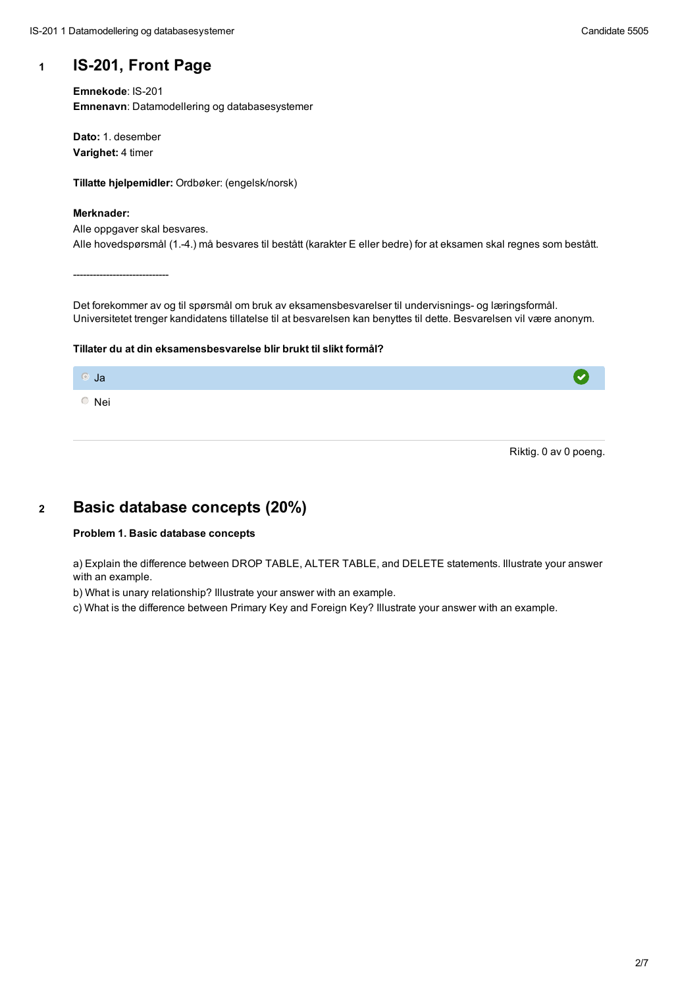### **<sup>1</sup> IS-201, Front Page**

**Emnekode**: IS-201 **Emnenavn**: Datamodellering og databasesystemer

**Dato:** 1. desember **Varighet:** 4 timer

**Tillatte hjelpemidler:** Ordbøker: (engelsk/norsk)

#### **Merknader:**

Alle oppgaver skal besvares. Alle hovedspørsmål (1.-4.) må besvares til bestått (karakter E eller bedre) for at eksamen skal regnes som bestått.

-----------------------------

Det forekommer av og til spørsmål om bruk av eksamensbesvarelser til undervisnings- og læringsformål. Universitetet trenger kandidatens tillatelse til at besvarelsen kan benyttes til dette. Besvarelsen vil være anonym.

#### **Tillater du at din eksamensbesvarelse blir brukt til slikt formål?**



Riktig. 0 av 0 poeng.

### **<sup>2</sup> Basic database concepts (20%)**

### **Problem 1. Basic database concepts**

a) Explain the difference between DROP TABLE, ALTER TABLE, and DELETE statements. Illustrate your answer with an example.

b) What is unary relationship? Illustrate your answer with an example.

- 
- c) What is the difference between Primary Key and Foreign Key? Illustrate your answer with an example.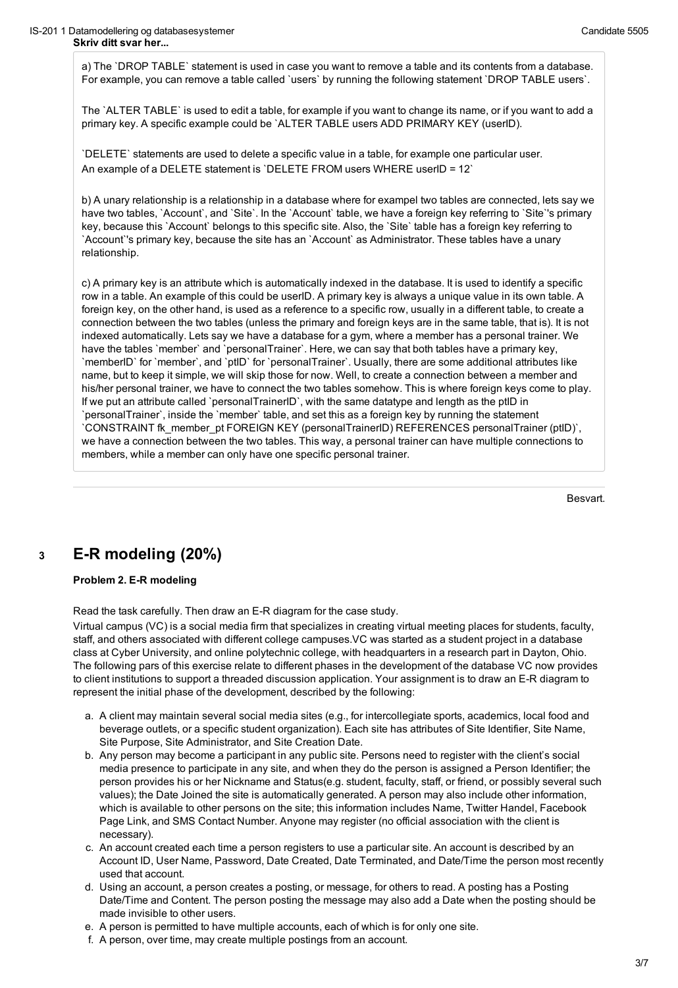a) The `DROP TABLE` statement is used in case you want to remove a table and its contents from a database. For example, you can remove a table called `users` by running the following statement `DROP TABLE users`.

The `ALTER TABLE` is used to edit a table, for example if you want to change its name, or if you want to add a primary key. A specific example could be `ALTER TABLE users ADD PRIMARY KEY (userID).

`DELETE` statements are used to delete a specific value in a table, for example one particular user. An example of a DELETE statement is `DELETE FROM users WHERE userID = 12`

b) A unary relationship is a relationship in a database where for exampel two tables are connected, lets say we have two tables, `Account`, and `Site`. In the `Account` table, we have a foreign key referring to `Site`'s primary key, because this `Account` belongs to this specific site. Also, the `Site` table has a foreign key referring to `Account`'s primary key, because the site has an `Account` as Administrator. These tables have a unary relationship.

c) A primary key is an attribute which is automatically indexed in the database. It is used to identify a specific row in a table. An example of this could be userID. A primary key is always a unique value in its own table. A foreign key, on the other hand, is used as a reference to a specific row, usually in a different table, to create a connection between the two tables (unless the primary and foreign keys are in the same table, that is). It is not indexed automatically. Lets say we have a database for a gym, where a member has a personal trainer. We have the tables `member` and `personalTrainer`. Here, we can say that both tables have a primary key, `memberID` for `member`, and `ptID` for `personalTrainer`. Usually, there are some additional attributes like name, but to keep it simple, we will skip those for now. Well, to create a connection between a member and his/her personal trainer, we have to connect the two tables somehow. This is where foreign keys come to play. If we put an attribute called `personalTrainerID`, with the same datatype and length as the ptID in `personalTrainer`, inside the `member` table, and set this as a foreign key by running the statement `CONSTRAINT fk\_member\_pt FOREIGN KEY (personalTrainerID) REFERENCES personalTrainer (ptID)`, we have a connection between the two tables. This way, a personal trainer can have multiple connections to members, while a member can only have one specific personal trainer.

Besvart.

## **<sup>3</sup> E-R modeling (20%)**

**Problem 2. E-R modeling**

Read the task carefully. Then draw an E-R diagram for the case study.

Virtual campus (VC) is a social media firm that specializes in creating virtual meeting places for students, faculty, staff, and others associated with different college campuses.VC was started as a student project in a database class at Cyber University, and online polytechnic college, with headquarters in a research part in Dayton, Ohio. The following pars of this exercise relate to different phases in the development of the database VC now provides to client institutions to support a threaded discussion application. Your assignment is to draw an E-R diagram to represent the initial phase of the development, described by the following:

- a. A client may maintain several social media sites (e.g., for intercollegiate sports, academics, local food and beverage outlets, or a specific student organization). Each site has attributes of Site Identifier, Site Name, Site Purpose, Site Administrator, and Site Creation Date.
- b. Any person may become a participant in any public site. Persons need to register with the client's social media presence to participate in any site, and when they do the person is assigned a Person Identifier; the person provides his or her Nickname and Status(e.g. student, faculty, staff, or friend, or possibly several such values); the Date Joined the site is automatically generated. A person may also include other information, which is available to other persons on the site; this information includes Name, Twitter Handel, Facebook Page Link, and SMS Contact Number. Anyone may register (no official association with the client is necessary).
- c. An account created each time a person registers to use a particular site. An account is described by an Account ID, User Name, Password, Date Created, Date Terminated, and Date/Time the person most recently used that account.
- d. Using an account, a person creates a posting, or message, for others to read. A posting has a Posting Date/Time and Content. The person posting the message may also add a Date when the posting should be made invisible to other users.
- e. A person is permitted to have multiple accounts, each of which is for only one site.
- f. A person, over time, may create multiple postings from an account.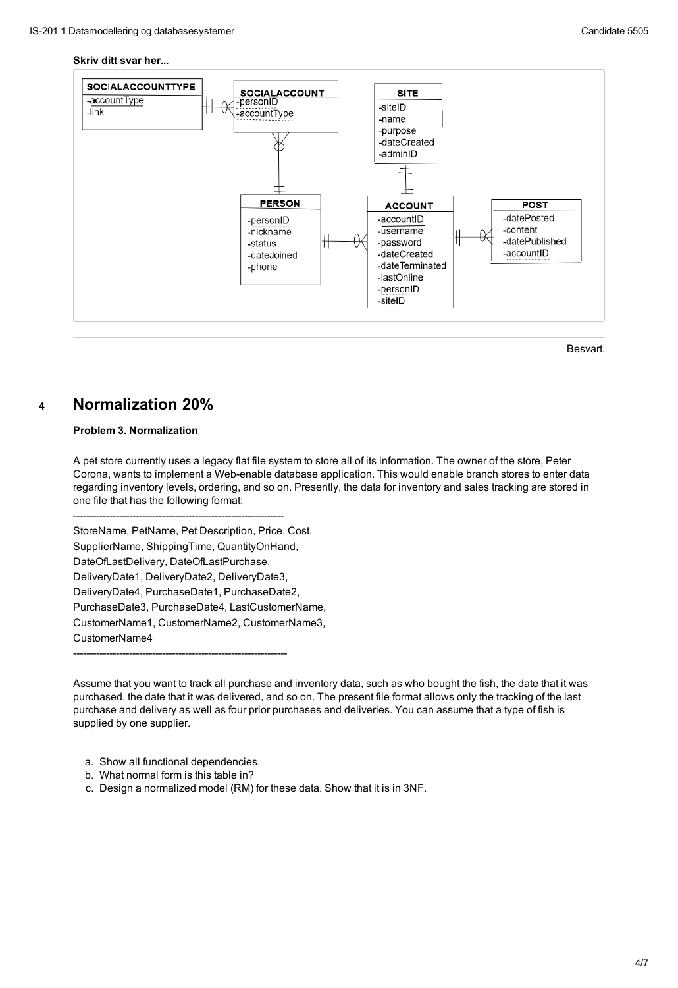#### **Skriv ditt svar her...**



Besvart.

### **<sup>4</sup> Normalization 20%**

### **Problem 3. Normalization**

A pet store currently uses a legacy flat file system to store all of its information. The owner of the store, Peter Corona, wants to implement a Web-enable database application. This would enable branch stores to enter data regarding inventory levels, ordering, and so on. Presently, the data for inventory and sales tracking are stored in one file that has the following format:

----------------------------------------------------------------

StoreName, PetName, Pet Description, Price, Cost, SupplierName, ShippingTime, QuantityOnHand, DateOfLastDelivery, DateOfLastPurchase, DeliveryDate1, DeliveryDate2, DeliveryDate3,

DeliveryDate4, PurchaseDate1, PurchaseDate2, PurchaseDate3, PurchaseDate4, LastCustomerName, CustomerName1, CustomerName2, CustomerName3, CustomerName4

-----------------------------------------------------------------

Assume that you want to track all purchase and inventory data, such as who bought the fish, the date that it was purchased, the date that it was delivered, and so on. The present file format allows only the tracking of the last purchase and delivery as well as four prior purchases and deliveries. You can assume that a type of fish is supplied by one supplier.

- a. Show all functional dependencies.
- b. What normal form is this table in?
- c. Design a normalized model (RM) for these data. Show that it is in 3NF.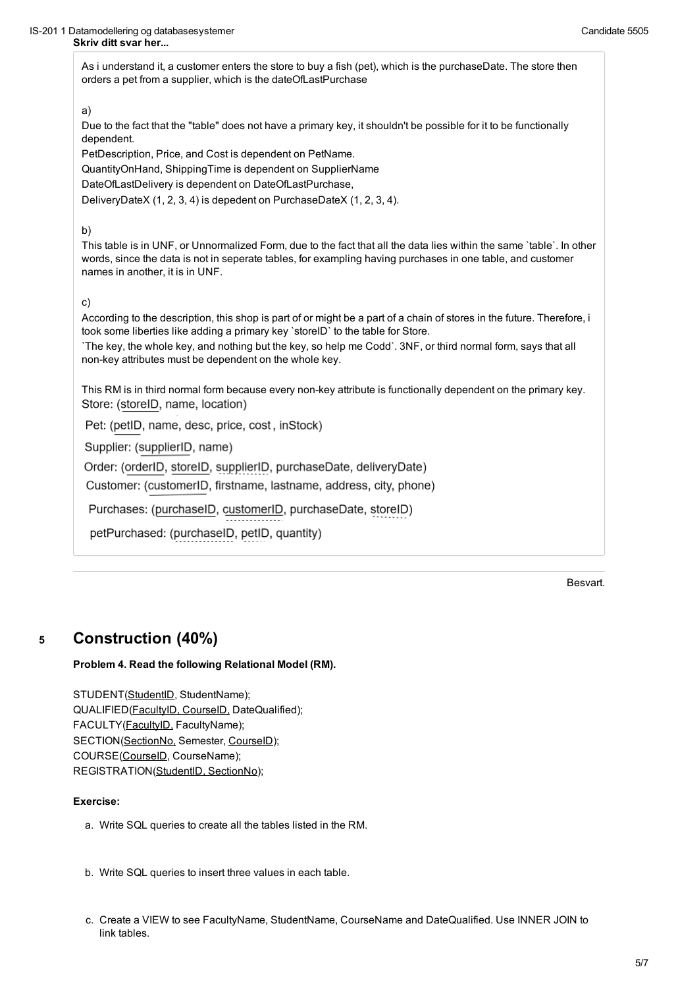As i understand it, a customer enters the store to buy a fish (pet), which is the purchaseDate. The store then orders a pet from a supplier, which is the dateOfLastPurchase

### a)

Due to the fact that the "table" does not have a primary key, it shouldn't be possible for it to be functionally dependent.

PetDescription, Price, and Cost is dependent on PetName.

QuantityOnHand, ShippingTime is dependent on SupplierName

DateOfLastDelivery is dependent on DateOfLastPurchase,

DeliveryDateX (1, 2, 3, 4) is depedent on PurchaseDateX (1, 2, 3, 4).

This RM is in third normal form because every non-key attribute is functionally dependent on the primary key. Store: (storeID, name, location)

Pet: (petID, name, desc, price, cost, inStock)

Supplier: (supplierID, name)

Order: (orderID, storeID, supplierID, purchaseDate, deliveryDate)

#### b)

Customer: (customerID, firstname, lastname, address, city, phone)

Purchases: (purchaseID, customerID, purchaseDate, storeID)

petPurchased: (purchaseID, petID, quantity)

This table is in UNF, or Unnormalized Form, due to the fact that all the data lies within the same `table`. In other words, since the data is not in seperate tables, for exampling having purchases in one table, and customer names in another, it is in UNF.

STUDENT(StudentID, StudentName); QUALIFIED(FacultyID, CourseID, DateQualified); FACULTY(FacultyID, FacultyName); SECTION(SectionNo, Semester, CourseID); COURSE(CourseID, CourseName); REGISTRATION(StudentID, SectionNo);

### c)

According to the description, this shop is part of or might be a part of a chain of stores in the future. Therefore, i took some liberties like adding a primary key `storeID` to the table for Store.

`The key, the whole key, and nothing but the key, so help me Codd`. 3NF, or third normal form, says that all non-key attributes must be dependent on the whole key.

### **<sup>5</sup> Construction (40%)**

### **Problem 4. Read the following Relational Model (RM).**

### **Exercise:**

- a. Write SQL queries to create all the tables listed in the RM.
- b. Write SQL queries to insert three values in each table.
- c. Create a VIEW to see FacultyName, StudentName, CourseName and DateQualified. Use INNER JOIN to link tables.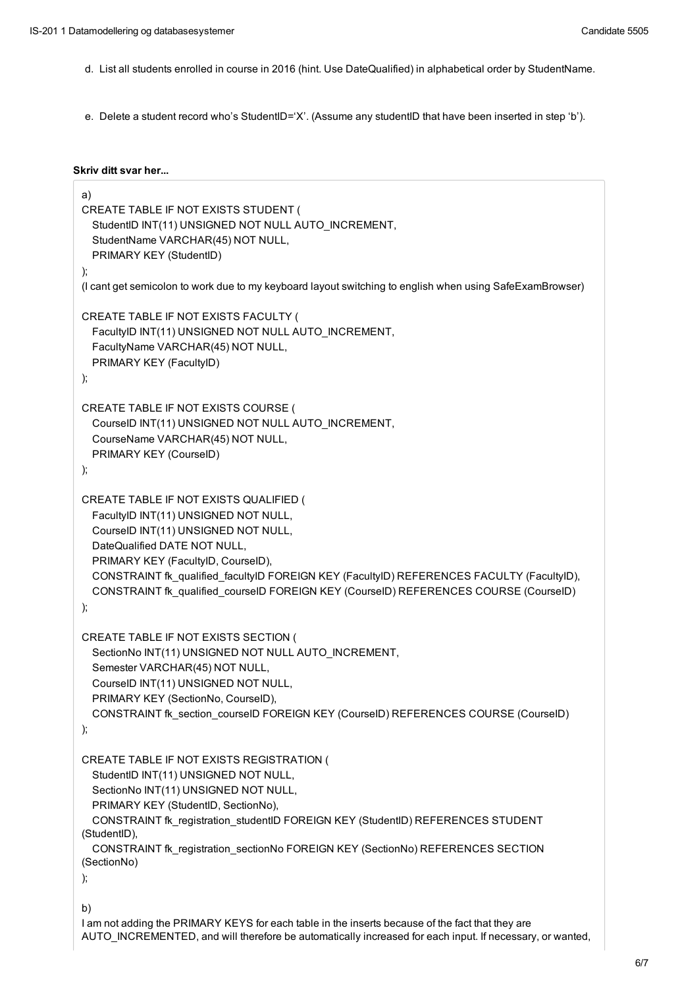- d. List all students enrolled in course in 2016 (hint. Use DateQualified) in alphabetical order by StudentName.
- e. Delete a student record who's StudentID='X'. (Assume any studentID that have been inserted in step 'b').

#### **Skriv ditt svar her...**

```
a)
CREATE TABLE IF NOT EXISTS STUDENT (
  StudentID INT(11) UNSIGNED NOT NULL AUTO_INCREMENT,
 StudentName VARCHAR(45) NOT NULL,
 PRIMARY KEY (StudentID)
);
(I cant get semicolon to work due to my keyboard layout switching to english when using SafeExamBrowser)
CREATE TABLE IF NOT EXISTS FACULTY (
 FacultyID INT(11) UNSIGNED NOT NULL AUTO_INCREMENT,
 FacultyName VARCHAR(45) NOT NULL,
 PRIMARY KEY (FacultyID)
);
CREATE TABLE IF NOT EXISTS COURSE (
 CourseID INT(11) UNSIGNED NOT NULL AUTO_INCREMENT,
 CourseName VARCHAR(45) NOT NULL,
 PRIMARY KEY (CourseID)
);
CREATE TABLE IF NOT EXISTS QUALIFIED (
 FacultyID INT(11) UNSIGNED NOT NULL,
 CourseID INT(11) UNSIGNED NOT NULL,
 DateQualified DATE NOT NULL,
 PRIMARY KEY (FacultyID, CourseID),
 CONSTRAINT fk_qualified_facultyID FOREIGN KEY (FacultyID) REFERENCES FACULTY (FacultyID),
  CONSTRAINT fk_qualified_courseID FOREIGN KEY (CourseID) REFERENCES COURSE (CourseID)
);
```

```
CREATE TABLE IF NOT EXISTS SECTION (
```
SectionNo INT(11) UNSIGNED NOT NULL AUTO\_INCREMENT,

```
Semester VARCHAR(45) NOT NULL,
```

```
CourseID INT(11) UNSIGNED NOT NULL,
```

```
PRIMARY KEY (SectionNo, CourseID),
```
CONSTRAINT fk\_section\_courseID FOREIGN KEY (CourseID) REFERENCES COURSE (CourseID)

);

```
CREATE TABLE IF NOT EXISTS REGISTRATION (
```

```
StudentID INT(11) UNSIGNED NOT NULL,
```

```
SectionNo INT(11) UNSIGNED NOT NULL,
```

```
PRIMARY KEY (StudentID, SectionNo),
```

```
CONSTRAINT fk_registration_studentID FOREIGN KEY (StudentID) REFERENCES STUDENT
(StudentID),
```

```
CONSTRAINT fk_registration_sectionNo FOREIGN KEY (SectionNo) REFERENCES SECTION
(SectionNo)
```
);

```
b)
```
I am not adding the PRIMARY KEYS for each table in the inserts because of the fact that they are AUTO\_INCREMENTED, and will therefore be automatically increased for each input. If necessary, or wanted,